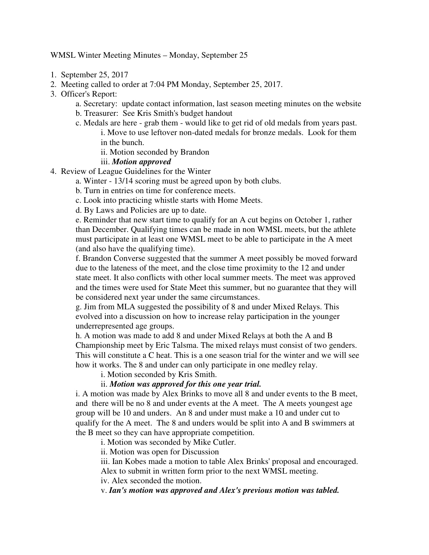WMSL Winter Meeting Minutes – Monday, September 25

- 1. September 25, 2017
- 2. Meeting called to order at 7:04 PM Monday, September 25, 2017.
- 3. Officer's Report:
	- a. Secretary: update contact information, last season meeting minutes on the website
	- b. Treasurer: See Kris Smith's budget handout
	- c. Medals are here grab them would like to get rid of old medals from years past.
		- i. Move to use leftover non-dated medals for bronze medals. Look for them in the bunch.
		- ii. Motion seconded by Brandon

## iii. *Motion approved*

- 4. Review of League Guidelines for the Winter
	- a. Winter 13/14 scoring must be agreed upon by both clubs.
		- b. Turn in entries on time for conference meets.
		- c. Look into practicing whistle starts with Home Meets.
		- d. By Laws and Policies are up to date.

e. Reminder that new start time to qualify for an A cut begins on October 1, rather than December. Qualifying times can be made in non WMSL meets, but the athlete must participate in at least one WMSL meet to be able to participate in the A meet (and also have the qualifying time).

f. Brandon Converse suggested that the summer A meet possibly be moved forward due to the lateness of the meet, and the close time proximity to the 12 and under state meet. It also conflicts with other local summer meets. The meet was approved and the times were used for State Meet this summer, but no guarantee that they will be considered next year under the same circumstances.

g. Jim from MLA suggested the possibility of 8 and under Mixed Relays. This evolved into a discussion on how to increase relay participation in the younger underrepresented age groups.

h. A motion was made to add 8 and under Mixed Relays at both the A and B Championship meet by Eric Talsma. The mixed relays must consist of two genders. This will constitute a C heat. This is a one season trial for the winter and we will see how it works. The 8 and under can only participate in one medley relay.

i. Motion seconded by Kris Smith.

## ii. *Motion was approved for this one year trial.*

i. A motion was made by Alex Brinks to move all 8 and under events to the B meet, and there will be no 8 and under events at the A meet. The A meets youngest age group will be 10 and unders. An 8 and under must make a 10 and under cut to qualify for the A meet. The 8 and unders would be split into A and B swimmers at the B meet so they can have appropriate competition.

i. Motion was seconded by Mike Cutler.

ii. Motion was open for Discussion

iii. Ian Kobes made a motion to table Alex Brinks' proposal and encouraged. Alex to submit in written form prior to the next WMSL meeting.

iv. Alex seconded the motion.

v. *Ian's motion was approved and Alex's previous motion was tabled.*